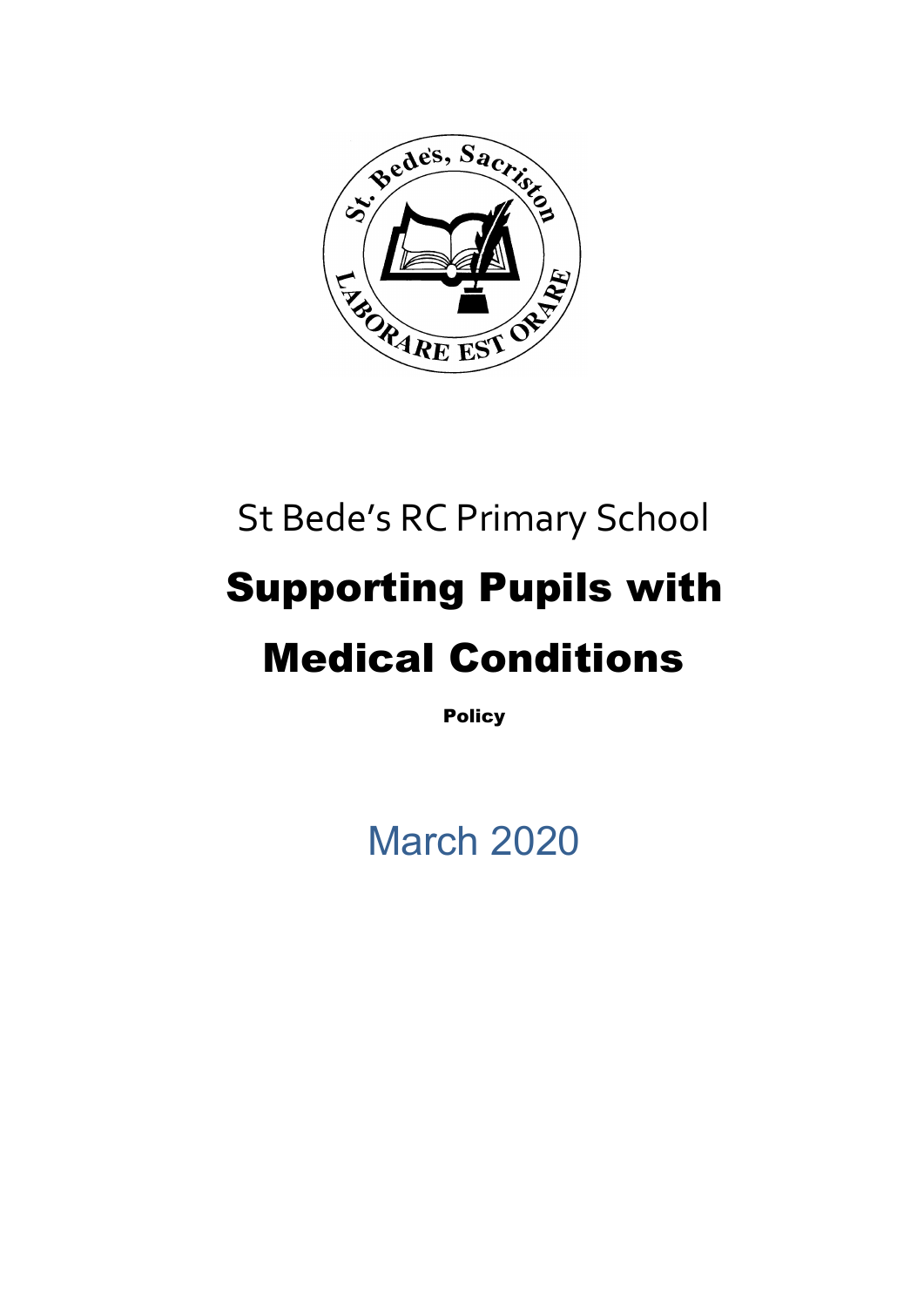

# St Bede's RC Primary School Supporting Pupils with Medical Conditions

**Policy** 

March 2020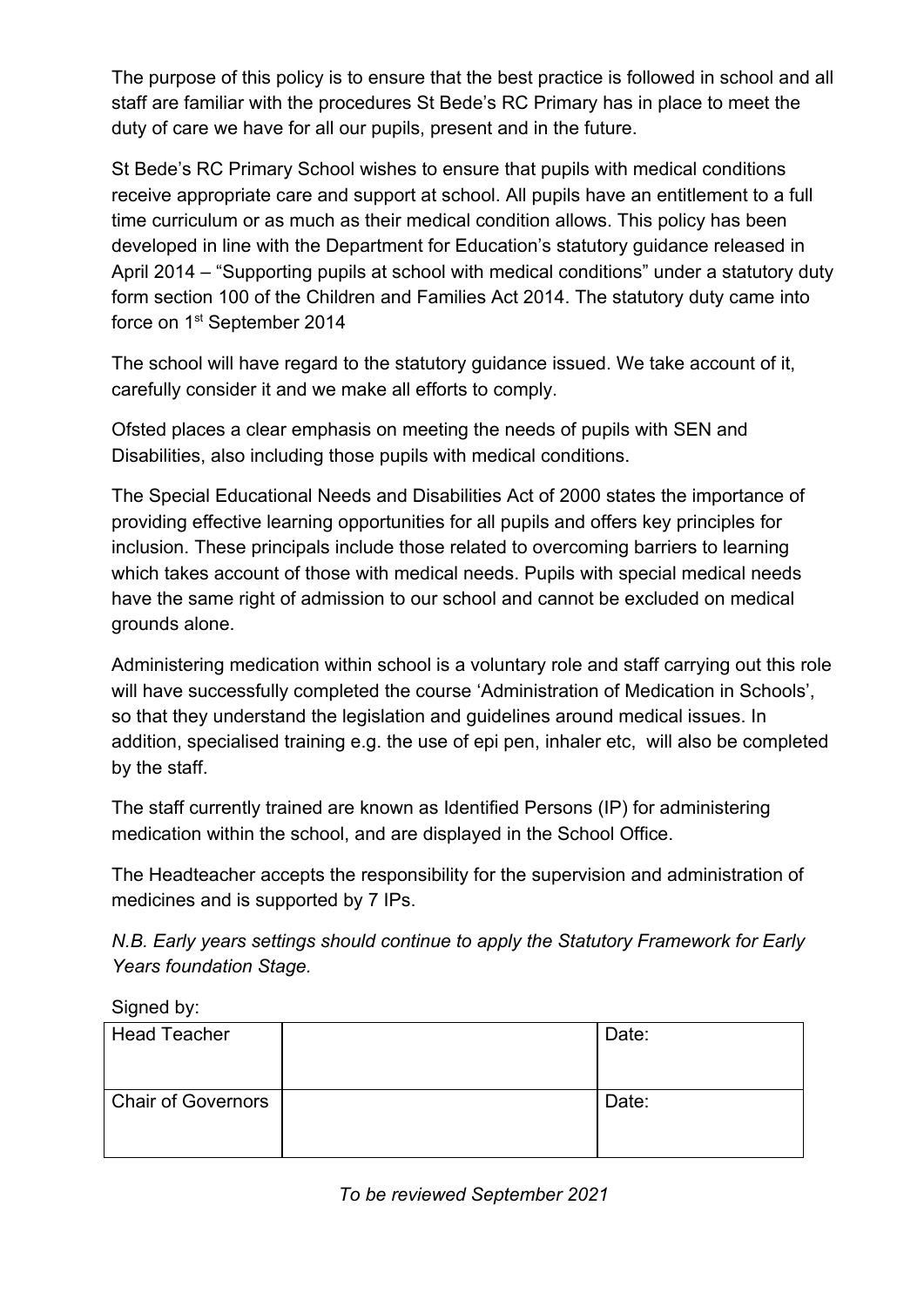The purpose of this policy is to ensure that the best practice is followed in school and all staff are familiar with the procedures St Bede's RC Primary has in place to meet the duty of care we have for all our pupils, present and in the future.

St Bede's RC Primary School wishes to ensure that pupils with medical conditions receive appropriate care and support at school. All pupils have an entitlement to a full time curriculum or as much as their medical condition allows. This policy has been developed in line with the Department for Education's statutory guidance released in April 2014 – "Supporting pupils at school with medical conditions" under a statutory duty form section 100 of the Children and Families Act 2014. The statutory duty came into force on 1<sup>st</sup> September 2014

The school will have regard to the statutory guidance issued. We take account of it, carefully consider it and we make all efforts to comply.

Ofsted places a clear emphasis on meeting the needs of pupils with SEN and Disabilities, also including those pupils with medical conditions.

The Special Educational Needs and Disabilities Act of 2000 states the importance of providing effective learning opportunities for all pupils and offers key principles for inclusion. These principals include those related to overcoming barriers to learning which takes account of those with medical needs. Pupils with special medical needs have the same right of admission to our school and cannot be excluded on medical grounds alone.

Administering medication within school is a voluntary role and staff carrying out this role will have successfully completed the course 'Administration of Medication in Schools', so that they understand the legislation and guidelines around medical issues. In addition, specialised training e.g. the use of epi pen, inhaler etc, will also be completed by the staff.

The staff currently trained are known as Identified Persons (IP) for administering medication within the school, and are displayed in the School Office.

The Headteacher accepts the responsibility for the supervision and administration of medicines and is supported by 7 IPs.

*N.B. Early years settings should continue to apply the Statutory Framework for Early Years foundation Stage.*

Signed by:

| <b>Head Teacher</b>       | Date: |
|---------------------------|-------|
| <b>Chair of Governors</b> | Date: |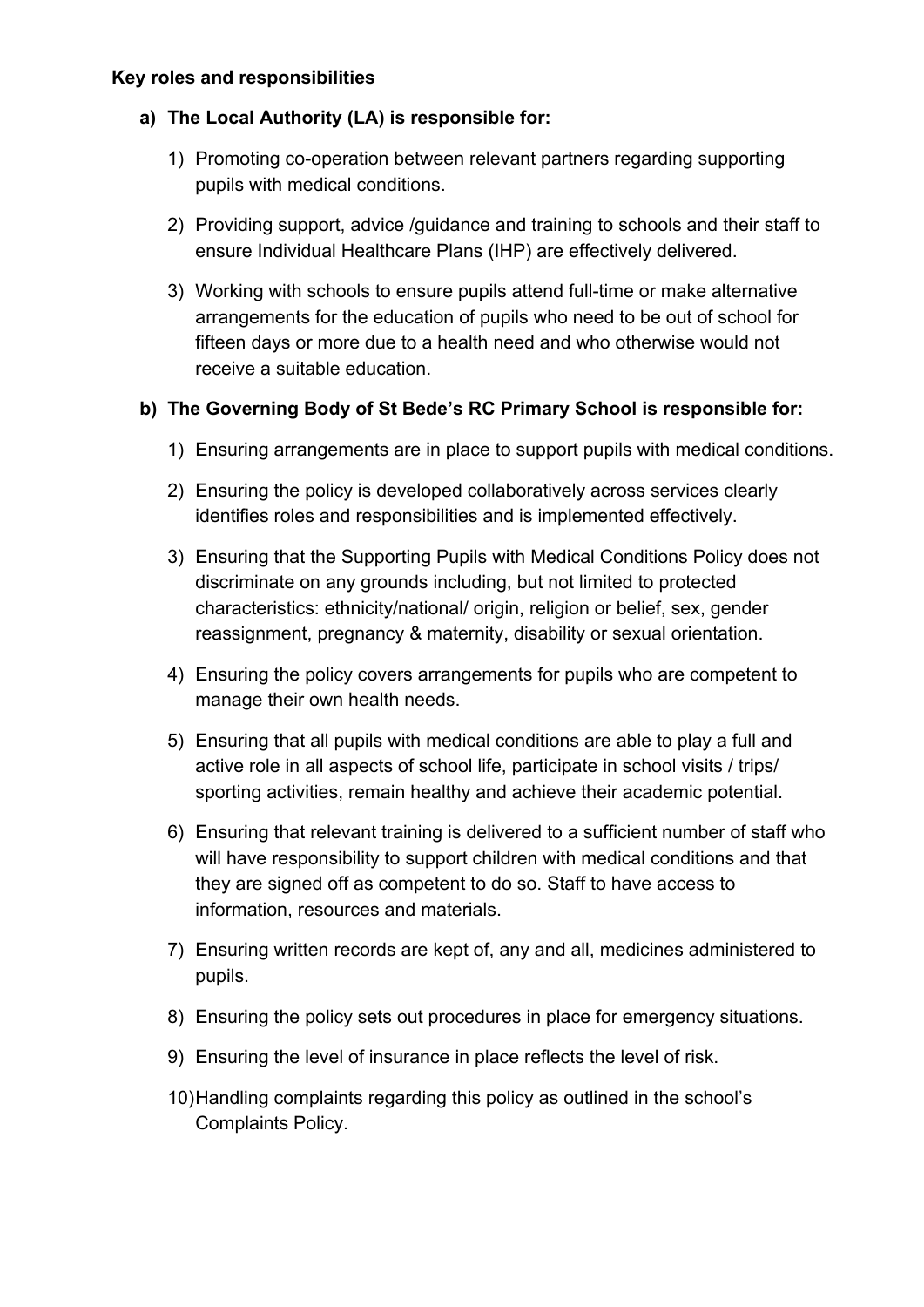## **a) The Local Authority (LA) is responsible for:**

- 1) Promoting co-operation between relevant partners regarding supporting pupils with medical conditions.
- 2) Providing support, advice /guidance and training to schools and their staff to ensure Individual Healthcare Plans (IHP) are effectively delivered.
- 3) Working with schools to ensure pupils attend full-time or make alternative arrangements for the education of pupils who need to be out of school for fifteen days or more due to a health need and who otherwise would not receive a suitable education.

## **b) The Governing Body of St Bede's RC Primary School is responsible for:**

- 1) Ensuring arrangements are in place to support pupils with medical conditions.
- 2) Ensuring the policy is developed collaboratively across services clearly identifies roles and responsibilities and is implemented effectively.
- 3) Ensuring that the Supporting Pupils with Medical Conditions Policy does not discriminate on any grounds including, but not limited to protected characteristics: ethnicity/national/ origin, religion or belief, sex, gender reassignment, pregnancy & maternity, disability or sexual orientation.
- 4) Ensuring the policy covers arrangements for pupils who are competent to manage their own health needs.
- 5) Ensuring that all pupils with medical conditions are able to play a full and active role in all aspects of school life, participate in school visits / trips/ sporting activities, remain healthy and achieve their academic potential.
- 6) Ensuring that relevant training is delivered to a sufficient number of staff who will have responsibility to support children with medical conditions and that they are signed off as competent to do so. Staff to have access to information, resources and materials.
- 7) Ensuring written records are kept of, any and all, medicines administered to pupils.
- 8) Ensuring the policy sets out procedures in place for emergency situations.
- 9) Ensuring the level of insurance in place reflects the level of risk.
- 10)Handling complaints regarding this policy as outlined in the school's Complaints Policy.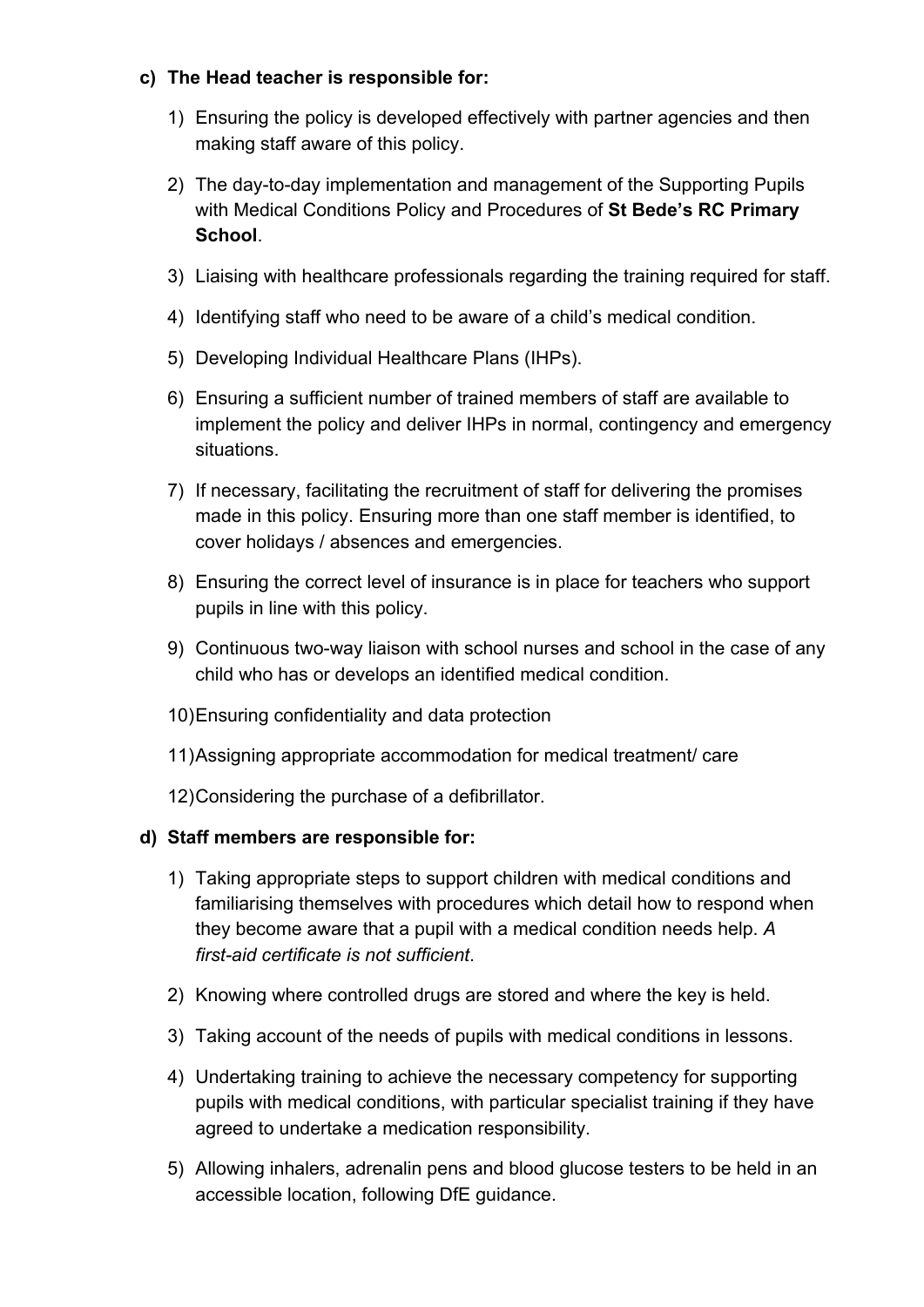## **c) The Head teacher is responsible for:**

- 1) Ensuring the policy is developed effectively with partner agencies and then making staff aware of this policy.
- 2) The day-to-day implementation and management of the Supporting Pupils with Medical Conditions Policy and Procedures of **St Bede's RC Primary School**.
- 3) Liaising with healthcare professionals regarding the training required for staff.
- 4) Identifying staff who need to be aware of a child's medical condition.
- 5) Developing Individual Healthcare Plans (IHPs).
- 6) Ensuring a sufficient number of trained members of staff are available to implement the policy and deliver IHPs in normal, contingency and emergency situations.
- 7) If necessary, facilitating the recruitment of staff for delivering the promises made in this policy. Ensuring more than one staff member is identified, to cover holidays / absences and emergencies.
- 8) Ensuring the correct level of insurance is in place for teachers who support pupils in line with this policy.
- 9) Continuous two-way liaison with school nurses and school in the case of any child who has or develops an identified medical condition.
- 10)Ensuring confidentiality and data protection
- 11)Assigning appropriate accommodation for medical treatment/ care
- 12)Considering the purchase of a defibrillator.

#### **d) Staff members are responsible for:**

- 1) Taking appropriate steps to support children with medical conditions and familiarising themselves with procedures which detail how to respond when they become aware that a pupil with a medical condition needs help. *A first-aid certificate is not sufficient*.
- 2) Knowing where controlled drugs are stored and where the key is held.
- 3) Taking account of the needs of pupils with medical conditions in lessons.
- 4) Undertaking training to achieve the necessary competency for supporting pupils with medical conditions, with particular specialist training if they have agreed to undertake a medication responsibility.
- 5) Allowing inhalers, adrenalin pens and blood glucose testers to be held in an accessible location, following DfE guidance.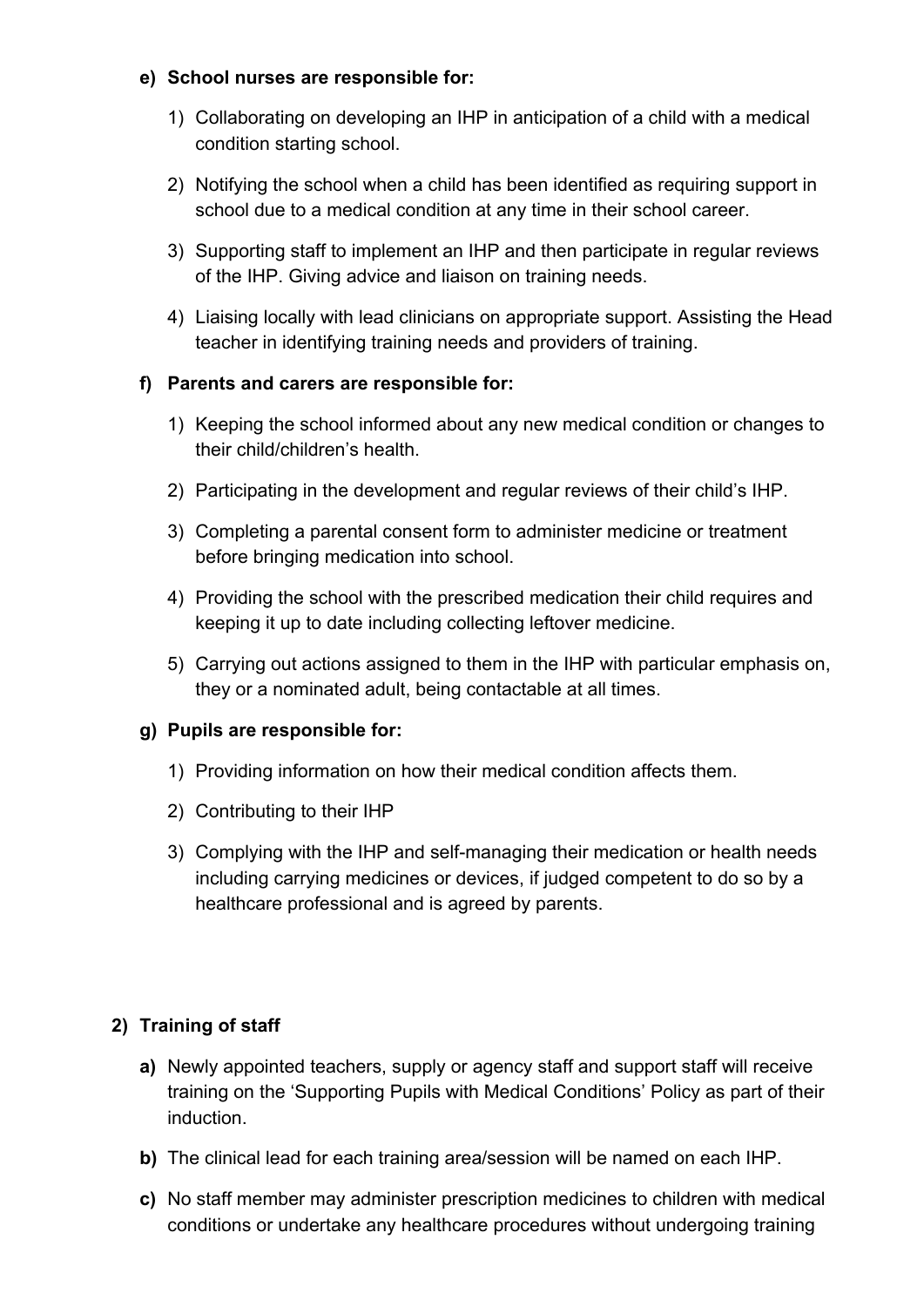#### **e) School nurses are responsible for:**

- 1) Collaborating on developing an IHP in anticipation of a child with a medical condition starting school.
- 2) Notifying the school when a child has been identified as requiring support in school due to a medical condition at any time in their school career.
- 3) Supporting staff to implement an IHP and then participate in regular reviews of the IHP. Giving advice and liaison on training needs.
- 4) Liaising locally with lead clinicians on appropriate support. Assisting the Head teacher in identifying training needs and providers of training.

## **f) Parents and carers are responsible for:**

- 1) Keeping the school informed about any new medical condition or changes to their child/children's health.
- 2) Participating in the development and regular reviews of their child's IHP.
- 3) Completing a parental consent form to administer medicine or treatment before bringing medication into school.
- 4) Providing the school with the prescribed medication their child requires and keeping it up to date including collecting leftover medicine.
- 5) Carrying out actions assigned to them in the IHP with particular emphasis on, they or a nominated adult, being contactable at all times.

## **g) Pupils are responsible for:**

- 1) Providing information on how their medical condition affects them.
- 2) Contributing to their IHP
- 3) Complying with the IHP and self-managing their medication or health needs including carrying medicines or devices, if judged competent to do so by a healthcare professional and is agreed by parents.

## **2) Training of staff**

- **a)** Newly appointed teachers, supply or agency staff and support staff will receive training on the 'Supporting Pupils with Medical Conditions' Policy as part of their induction.
- **b)** The clinical lead for each training area/session will be named on each IHP.
- **c)** No staff member may administer prescription medicines to children with medical conditions or undertake any healthcare procedures without undergoing training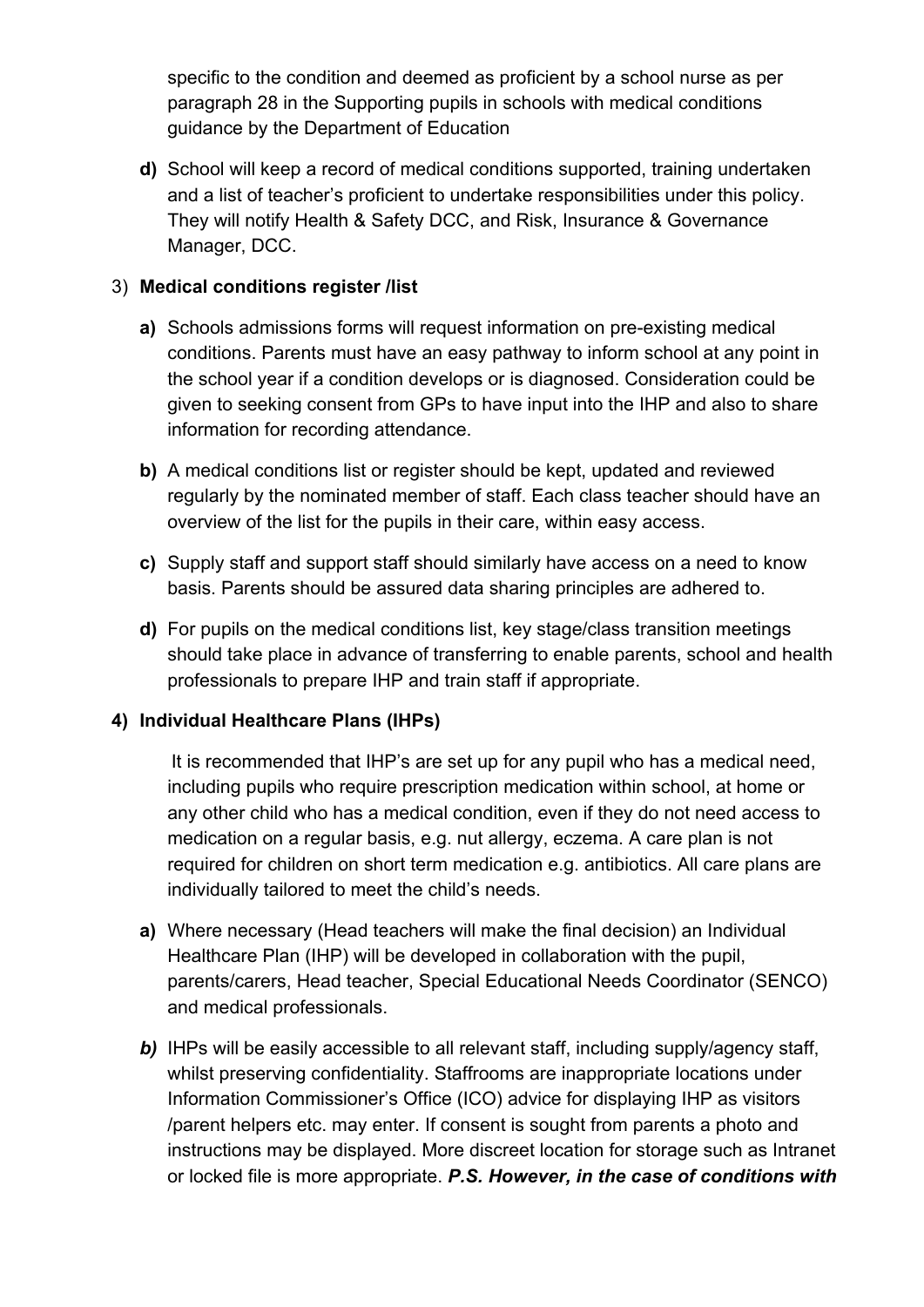specific to the condition and deemed as proficient by a school nurse as per paragraph 28 in the Supporting pupils in schools with medical conditions guidance by the Department of Education

**d)** School will keep a record of medical conditions supported, training undertaken and a list of teacher's proficient to undertake responsibilities under this policy. They will notify Health & Safety DCC, and Risk, Insurance & Governance Manager, DCC.

## 3) **Medical conditions register /list**

- **a)** Schools admissions forms will request information on pre-existing medical conditions. Parents must have an easy pathway to inform school at any point in the school year if a condition develops or is diagnosed. Consideration could be given to seeking consent from GPs to have input into the IHP and also to share information for recording attendance.
- **b)** A medical conditions list or register should be kept, updated and reviewed regularly by the nominated member of staff. Each class teacher should have an overview of the list for the pupils in their care, within easy access.
- **c)** Supply staff and support staff should similarly have access on a need to know basis. Parents should be assured data sharing principles are adhered to.
- **d)** For pupils on the medical conditions list, key stage/class transition meetings should take place in advance of transferring to enable parents, school and health professionals to prepare IHP and train staff if appropriate.

## **4) Individual Healthcare Plans (IHPs)**

It is recommended that IHP's are set up for any pupil who has a medical need, including pupils who require prescription medication within school, at home or any other child who has a medical condition, even if they do not need access to medication on a regular basis, e.g. nut allergy, eczema. A care plan is not required for children on short term medication e.g. antibiotics. All care plans are individually tailored to meet the child's needs.

- **a)** Where necessary (Head teachers will make the final decision) an Individual Healthcare Plan (IHP) will be developed in collaboration with the pupil, parents/carers, Head teacher, Special Educational Needs Coordinator (SENCO) and medical professionals.
- **b)** IHPs will be easily accessible to all relevant staff, including supply/agency staff, whilst preserving confidentiality. Staffrooms are inappropriate locations under Information Commissioner's Office (ICO) advice for displaying IHP as visitors /parent helpers etc. may enter. If consent is sought from parents a photo and instructions may be displayed. More discreet location for storage such as Intranet or locked file is more appropriate. *P.S. However, in the case of conditions with*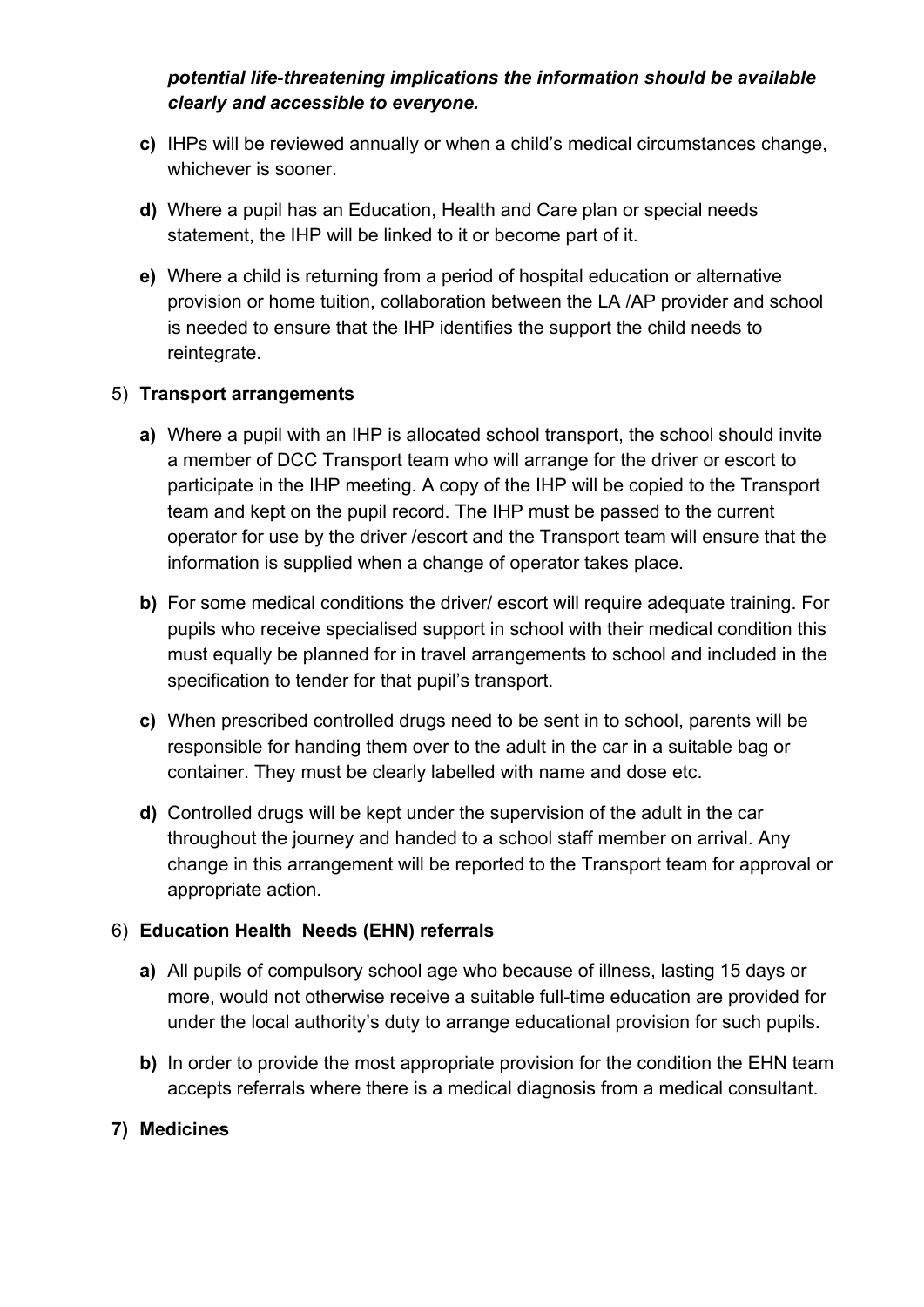## *potential life-threatening implications the information should be available clearly and accessible to everyone.*

- **c)** IHPs will be reviewed annually or when a child's medical circumstances change, whichever is sooner.
- **d)** Where a pupil has an Education, Health and Care plan or special needs statement, the IHP will be linked to it or become part of it.
- **e)** Where a child is returning from a period of hospital education or alternative provision or home tuition, collaboration between the LA /AP provider and school is needed to ensure that the IHP identifies the support the child needs to reintegrate.

## 5) **Transport arrangements**

- **a)** Where a pupil with an IHP is allocated school transport, the school should invite a member of DCC Transport team who will arrange for the driver or escort to participate in the IHP meeting. A copy of the IHP will be copied to the Transport team and kept on the pupil record. The IHP must be passed to the current operator for use by the driver /escort and the Transport team will ensure that the information is supplied when a change of operator takes place.
- **b)** For some medical conditions the driver/ escort will require adequate training. For pupils who receive specialised support in school with their medical condition this must equally be planned for in travel arrangements to school and included in the specification to tender for that pupil's transport.
- **c)** When prescribed controlled drugs need to be sent in to school, parents will be responsible for handing them over to the adult in the car in a suitable bag or container. They must be clearly labelled with name and dose etc.
- **d)** Controlled drugs will be kept under the supervision of the adult in the car throughout the journey and handed to a school staff member on arrival. Any change in this arrangement will be reported to the Transport team for approval or appropriate action.

## 6) **Education Health Needs (EHN) referrals**

- **a)** All pupils of compulsory school age who because of illness, lasting 15 days or more, would not otherwise receive a suitable full-time education are provided for under the local authority's duty to arrange educational provision for such pupils.
- **b)** In order to provide the most appropriate provision for the condition the EHN team accepts referrals where there is a medical diagnosis from a medical consultant.

## **7) Medicines**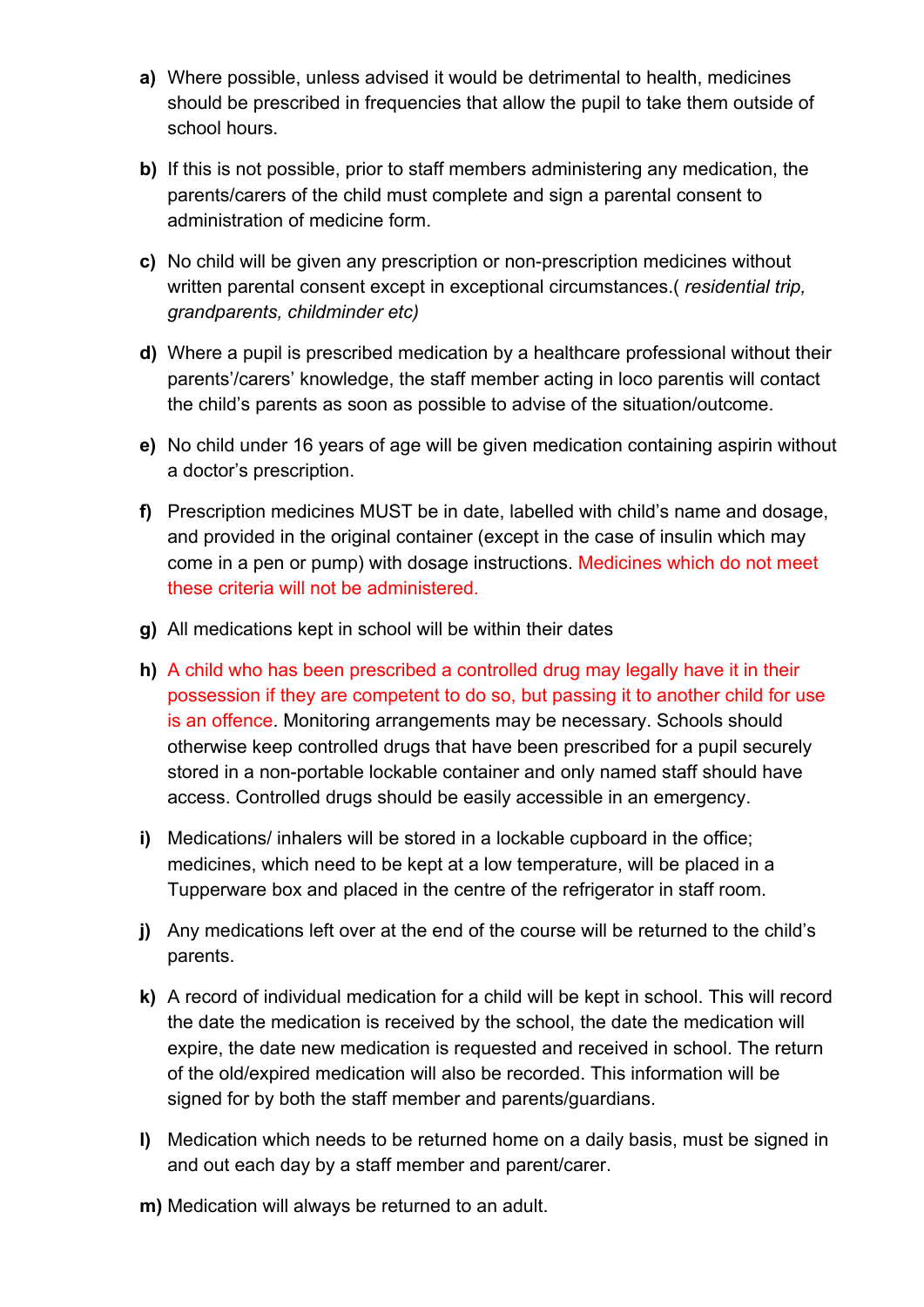- **a)** Where possible, unless advised it would be detrimental to health, medicines should be prescribed in frequencies that allow the pupil to take them outside of school hours.
- **b)** If this is not possible, prior to staff members administering any medication, the parents/carers of the child must complete and sign a parental consent to administration of medicine form.
- **c)** No child will be given any prescription or non-prescription medicines without written parental consent except in exceptional circumstances.( *residential trip, grandparents, childminder etc)*
- **d)** Where a pupil is prescribed medication by a healthcare professional without their parents'/carers' knowledge, the staff member acting in loco parentis will contact the child's parents as soon as possible to advise of the situation/outcome.
- **e)** No child under 16 years of age will be given medication containing aspirin without a doctor's prescription.
- **f)** Prescription medicines MUST be in date, labelled with child's name and dosage, and provided in the original container (except in the case of insulin which may come in a pen or pump) with dosage instructions. Medicines which do not meet these criteria will not be administered.
- **g)** All medications kept in school will be within their dates
- **h)** A child who has been prescribed a controlled drug may legally have it in their possession if they are competent to do so, but passing it to another child for use is an offence. Monitoring arrangements may be necessary. Schools should otherwise keep controlled drugs that have been prescribed for a pupil securely stored in a non-portable lockable container and only named staff should have access. Controlled drugs should be easily accessible in an emergency.
- **i)** Medications/ inhalers will be stored in a lockable cupboard in the office; medicines, which need to be kept at a low temperature, will be placed in a Tupperware box and placed in the centre of the refrigerator in staff room.
- **j)** Any medications left over at the end of the course will be returned to the child's parents.
- **k)** A record of individual medication for a child will be kept in school. This will record the date the medication is received by the school, the date the medication will expire, the date new medication is requested and received in school. The return of the old/expired medication will also be recorded. This information will be signed for by both the staff member and parents/guardians.
- **l)** Medication which needs to be returned home on a daily basis, must be signed in and out each day by a staff member and parent/carer.
- **m)** Medication will always be returned to an adult.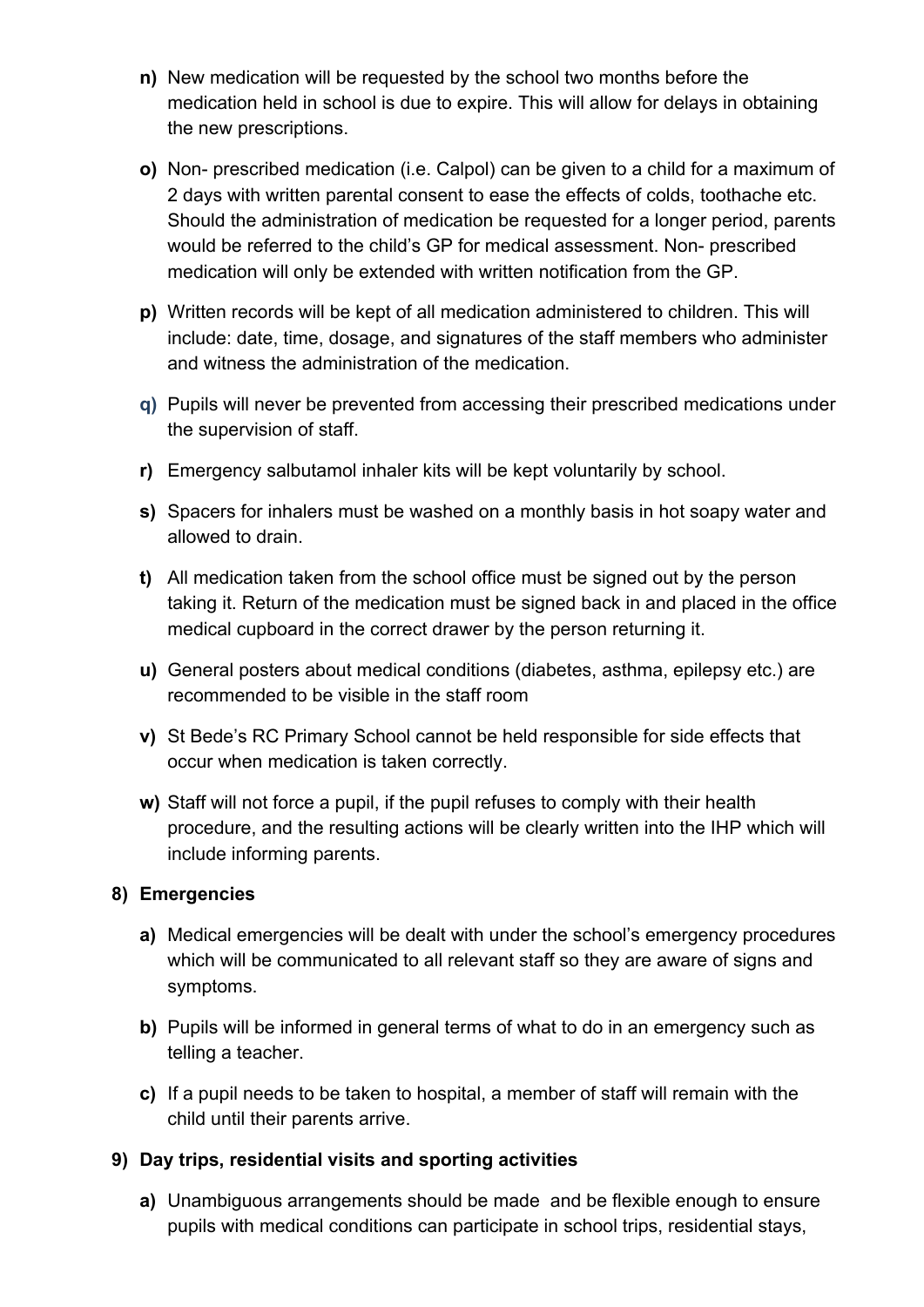- **n)** New medication will be requested by the school two months before the medication held in school is due to expire. This will allow for delays in obtaining the new prescriptions.
- **o)** Non- prescribed medication (i.e. Calpol) can be given to a child for a maximum of 2 days with written parental consent to ease the effects of colds, toothache etc. Should the administration of medication be requested for a longer period, parents would be referred to the child's GP for medical assessment. Non- prescribed medication will only be extended with written notification from the GP.
- **p)** Written records will be kept of all medication administered to children. This will include: date, time, dosage, and signatures of the staff members who administer and witness the administration of the medication.
- **q)** Pupils will never be prevented from accessing their prescribed medications under the supervision of staff.
- **r)** Emergency salbutamol inhaler kits will be kept voluntarily by school.
- **s)** Spacers for inhalers must be washed on a monthly basis in hot soapy water and allowed to drain.
- **t)** All medication taken from the school office must be signed out by the person taking it. Return of the medication must be signed back in and placed in the office medical cupboard in the correct drawer by the person returning it.
- **u)** General posters about medical conditions (diabetes, asthma, epilepsy etc.) are recommended to be visible in the staff room
- **v)** St Bede's RC Primary School cannot be held responsible for side effects that occur when medication is taken correctly.
- **w)** Staff will not force a pupil, if the pupil refuses to comply with their health procedure, and the resulting actions will be clearly written into the IHP which will include informing parents.

## **8) Emergencies**

- **a)** Medical emergencies will be dealt with under the school's emergency procedures which will be communicated to all relevant staff so they are aware of signs and symptoms.
- **b)** Pupils will be informed in general terms of what to do in an emergency such as telling a teacher.
- **c)** If a pupil needs to be taken to hospital, a member of staff will remain with the child until their parents arrive.
- **9) Day trips, residential visits and sporting activities**
	- **a)** Unambiguous arrangements should be made and be flexible enough to ensure pupils with medical conditions can participate in school trips, residential stays,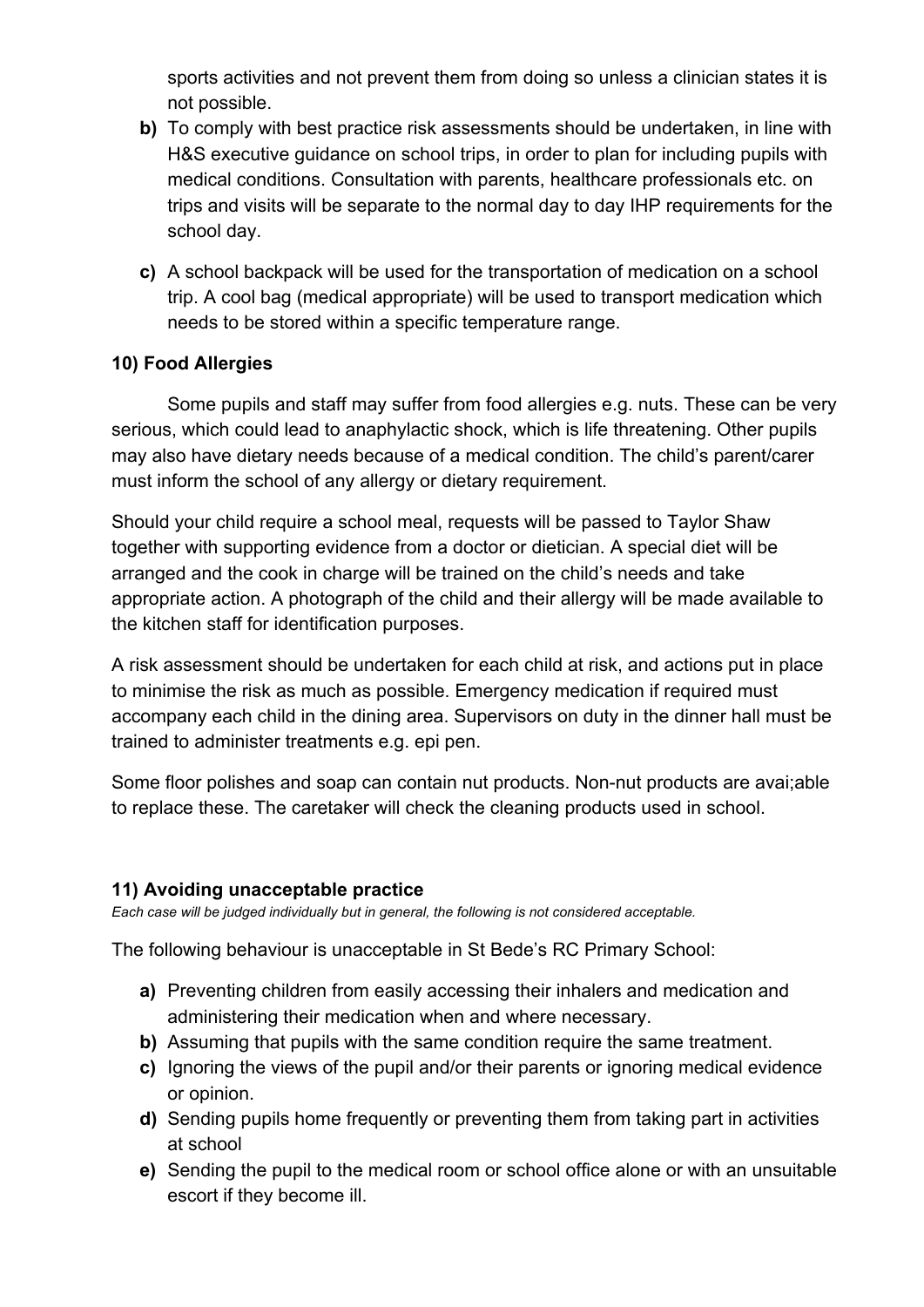sports activities and not prevent them from doing so unless a clinician states it is not possible.

- **b)** To comply with best practice risk assessments should be undertaken, in line with H&S executive guidance on school trips, in order to plan for including pupils with medical conditions. Consultation with parents, healthcare professionals etc. on trips and visits will be separate to the normal day to day IHP requirements for the school day.
- **c)** A school backpack will be used for the transportation of medication on a school trip. A cool bag (medical appropriate) will be used to transport medication which needs to be stored within a specific temperature range.

## **10) Food Allergies**

Some pupils and staff may suffer from food allergies e.g. nuts. These can be very serious, which could lead to anaphylactic shock, which is life threatening. Other pupils may also have dietary needs because of a medical condition. The child's parent/carer must inform the school of any allergy or dietary requirement.

Should your child require a school meal, requests will be passed to Taylor Shaw together with supporting evidence from a doctor or dietician. A special diet will be arranged and the cook in charge will be trained on the child's needs and take appropriate action. A photograph of the child and their allergy will be made available to the kitchen staff for identification purposes.

A risk assessment should be undertaken for each child at risk, and actions put in place to minimise the risk as much as possible. Emergency medication if required must accompany each child in the dining area. Supervisors on duty in the dinner hall must be trained to administer treatments e.g. epi pen.

Some floor polishes and soap can contain nut products. Non-nut products are avai;able to replace these. The caretaker will check the cleaning products used in school.

## **11) Avoiding unacceptable practice**

*Each case will be judged individually but in general, the following is not considered acceptable.*

The following behaviour is unacceptable in St Bede's RC Primary School:

- **a)** Preventing children from easily accessing their inhalers and medication and administering their medication when and where necessary.
- **b)** Assuming that pupils with the same condition require the same treatment.
- **c)** Ignoring the views of the pupil and/or their parents or ignoring medical evidence or opinion.
- **d)** Sending pupils home frequently or preventing them from taking part in activities at school
- **e)** Sending the pupil to the medical room or school office alone or with an unsuitable escort if they become ill.